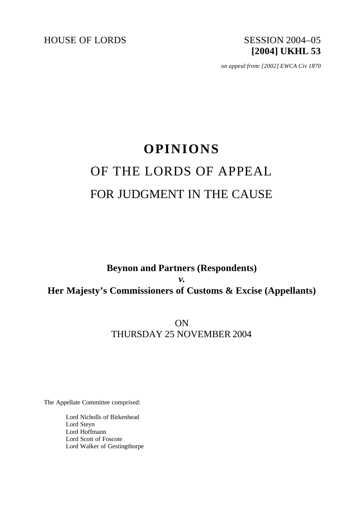HOUSE OF LORDS SESSION 2004-05

# **[2004] UKHL 53**

*on appeal from: [2002] EWCA Civ 1870*

## **OPINIONS** OF THE LORDS OF APPEAL FOR JUDGMENT IN THE CAUSE

### **Beynon and Partners (Respondents)** *v.* **Her Majesty's Commissioners of Customs & Excise (Appellants)**

ON THURSDAY 25 NOVEMBER 2004

The Appellate Committee comprised:

Lord Nicholls of Birkenhead Lord Steyn Lord Hoffmann Lord Scott of Foscote Lord Walker of Gestingthorpe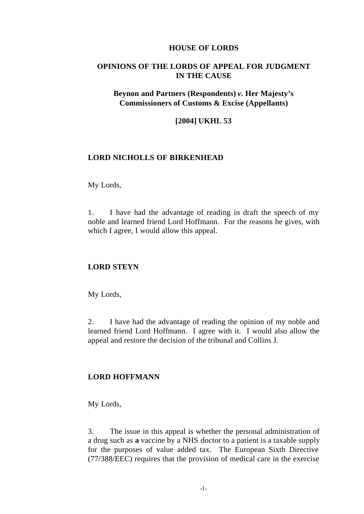#### **HOUSE OF LORDS**

#### **OPINIONS OF THE LORDS OF APPEAL FOR JUDGMENT IN THE CAUSE**

#### **Beynon and Partners (Respondents)** *v.* **Her Majesty's Commissioners of Customs & Excise (Appellants)**

#### **[2004] UKHL 53**

#### **LORD NICHOLLS OF BIRKENHEAD**

#### My Lords,

1. I have had the advantage of reading in draft the speech of my noble and learned friend Lord Hoffmann. For the reasons he gives, with which I agree, I would allow this appeal.

#### **LORD STEYN**

My Lords,

2. I have had the advantage of reading the opinion of my noble and learned friend Lord Hoffmann. I agree with it. I would also allow the appeal and restore the decision of the tribunal and Collins J.

#### **LORD HOFFMANN**

My Lords,

3. The issue in this appeal is whether the personal administration of a drug such as **a** vaccine by a NHS doctor to a patient is a taxable supply for the purposes of value added tax. The European Sixth Directive (77/388/EEC) requires that the provision of medical care in the exercise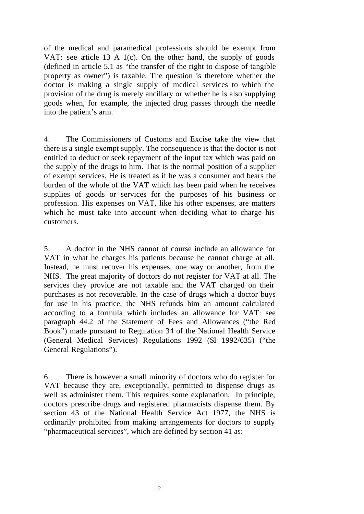of the medical and paramedical professions should be exempt from VAT: see article 13 A 1(c). On the other hand, the supply of goods (defined in article 5.1 as "the transfer of the right to dispose of tangible property as owner") is taxable. The question is therefore whether the doctor is making a single supply of medical services to which the provision of the drug is merely ancillary or whether he is also supplying goods when, for example, the injected drug passes through the needle into the patient's arm.

4. The Commissioners of Customs and Excise take the view that there is a single exempt supply. The consequence is that the doctor is not entitled to deduct or seek repayment of the input tax which was paid on the supply of the drugs to him. That is the normal position of a supplier of exempt services. He is treated as if he was a consumer and bears the burden of the whole of the VAT which has been paid when he receives supplies of goods or services for the purposes of his business or profession. His expenses on VAT, like his other expenses, are matters which he must take into account when deciding what to charge his customers.

5. A doctor in the NHS cannot of course include an allowance for VAT in what he charges his patients because he cannot charge at all. Instead, he must recover his expenses, one way or another, from the NHS. The great majority of doctors do not register for VAT at all. The services they provide are not taxable and the VAT charged on their purchases is not recoverable. In the case of drugs which a doctor buys for use in his practice, the NHS refunds him an amount calculated according to a formula which includes an allowance for VAT: see paragraph 44.2 of the Statement of Fees and Allowances ("the Red Book") made pursuant to Regulation 34 of the National Health Service (General Medical Services) Regulations 1992 (SI 1992/635) ("the General Regulations").

6. There is however a small minority of doctors who do register for VAT because they are, exceptionally, permitted to dispense drugs as well as administer them. This requires some explanation. In principle, doctors prescribe drugs and registered pharmacists dispense them. By section 43 of the National Health Service Act 1977, the NHS is ordinarily prohibited from making arrangements for doctors to supply "pharmaceutical services", which are defined by section 41 as: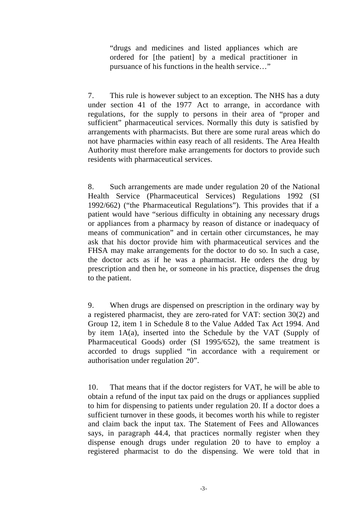"drugs and medicines and listed appliances which are ordered for [the patient] by a medical practitioner in pursuance of his functions in the health service…"

7. This rule is however subject to an exception. The NHS has a duty under section 41 of the 1977 Act to arrange, in accordance with regulations, for the supply to persons in their area of "proper and sufficient" pharmaceutical services. Normally this duty is satisfied by arrangements with pharmacists. But there are some rural areas which do not have pharmacies within easy reach of all residents. The Area Health Authority must therefore make arrangements for doctors to provide such residents with pharmaceutical services.

8. Such arrangements are made under regulation 20 of the National Health Service (Pharmaceutical Services) Regulations 1992 (SI 1992/662) ("the Pharmaceutical Regulations"). This provides that if a patient would have "serious difficulty in obtaining any necessary drugs or appliances from a pharmacy by reason of distance or inadequacy of means of communication" and in certain other circumstances, he may ask that his doctor provide him with pharmaceutical services and the FHSA may make arrangements for the doctor to do so. In such a case, the doctor acts as if he was a pharmacist. He orders the drug by prescription and then he, or someone in his practice, dispenses the drug to the patient.

9. When drugs are dispensed on prescription in the ordinary way by a registered pharmacist, they are zero-rated for VAT: section 30(2) and Group 12, item 1 in Schedule 8 to the Value Added Tax Act 1994. And by item 1A(a), inserted into the Schedule by the VAT (Supply of Pharmaceutical Goods) order (SI 1995/652), the same treatment is accorded to drugs supplied "in accordance with a requirement or authorisation under regulation 20".

10. That means that if the doctor registers for VAT, he will be able to obtain a refund of the input tax paid on the drugs or appliances supplied to him for dispensing to patients under regulation 20. If a doctor does a sufficient turnover in these goods, it becomes worth his while to register and claim back the input tax. The Statement of Fees and Allowances says, in paragraph 44.4, that practices normally register when they dispense enough drugs under regulation 20 to have to employ a registered pharmacist to do the dispensing. We were told that in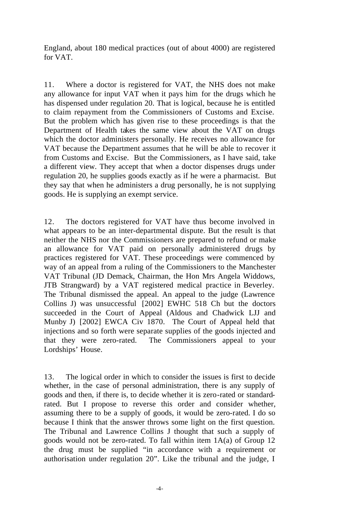England, about 180 medical practices (out of about 4000) are registered for VAT.

11. Where a doctor is registered for VAT, the NHS does not make any allowance for input VAT when it pays him for the drugs which he has dispensed under regulation 20. That is logical, because he is entitled to claim repayment from the Commissioners of Customs and Excise. But the problem which has given rise to these proceedings is that the Department of Health takes the same view about the VAT on drugs which the doctor administers personally. He receives no allowance for VAT because the Department assumes that he will be able to recover it from Customs and Excise. But the Commissioners, as I have said, take a different view. They accept that when a doctor dispenses drugs under regulation 20, he supplies goods exactly as if he were a pharmacist. But they say that when he administers a drug personally, he is not supplying goods. He is supplying an exempt service.

12. The doctors registered for VAT have thus become involved in what appears to be an inter-departmental dispute. But the result is that neither the NHS nor the Commissioners are prepared to refund or make an allowance for VAT paid on personally administered drugs by practices registered for VAT. These proceedings were commenced by way of an appeal from a ruling of the Commissioners to the Manchester VAT Tribunal (JD Demack, Chairman, the Hon Mrs Angela Widdows, JTB Strangward) by a VAT registered medical practice in Beverley. The Tribunal dismissed the appeal. An appeal to the judge (Lawrence Collins J) was unsuccessful [2002] EWHC 518 Ch but the doctors succeeded in the Court of Appeal (Aldous and Chadwick LJJ and Munby J) [2002] EWCA Civ 1870. The Court of Appeal held that injections and so forth were separate supplies of the goods injected and that they were zero-rated. The Commissioners appeal to your Lordships' House.

13. The logical order in which to consider the issues is first to decide whether, in the case of personal administration, there is any supply of goods and then, if there is, to decide whether it is zero-rated or standardrated. But I propose to reverse this order and consider whether, assuming there to be a supply of goods, it would be zero-rated. I do so because I think that the answer throws some light on the first question. The Tribunal and Lawrence Collins J thought that such a supply of goods would not be zero-rated. To fall within item 1A(a) of Group 12 the drug must be supplied "in accordance with a requirement or authorisation under regulation 20". Like the tribunal and the judge, I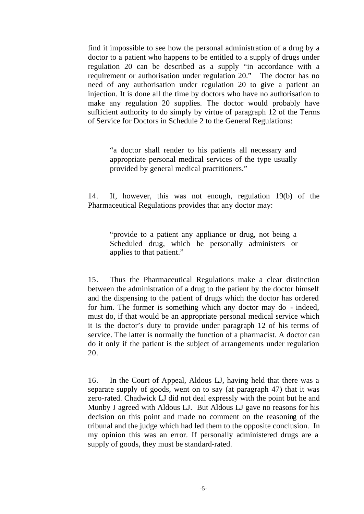find it impossible to see how the personal administration of a drug by a doctor to a patient who happens to be entitled to a supply of drugs under regulation 20 can be described as a supply "in accordance with a requirement or authorisation under regulation 20." The doctor has no need of any authorisation under regulation 20 to give a patient an injection. It is done all the time by doctors who have no authorisation to make any regulation 20 supplies. The doctor would probably have sufficient authority to do simply by virtue of paragraph 12 of the Terms of Service for Doctors in Schedule 2 to the General Regulations:

"a doctor shall render to his patients all necessary and appropriate personal medical services of the type usually provided by general medical practitioners."

14. If, however, this was not enough, regulation 19(b) of the Pharmaceutical Regulations provides that any doctor may:

"provide to a patient any appliance or drug, not being a Scheduled drug, which he personally administers or applies to that patient."

15. Thus the Pharmaceutical Regulations make a clear distinction between the administration of a drug to the patient by the doctor himself and the dispensing to the patient of drugs which the doctor has ordered for him. The former is something which any doctor may do - indeed, must do, if that would be an appropriate personal medical service which it is the doctor's duty to provide under paragraph 12 of his terms of service. The latter is normally the function of a pharmacist. A doctor can do it only if the patient is the subject of arrangements under regulation 20.

16. In the Court of Appeal, Aldous LJ, having held that there was a separate supply of goods, went on to say (at paragraph 47) that it was zero-rated. Chadwick LJ did not deal expressly with the point but he and Munby J agreed with Aldous LJ. But Aldous LJ gave no reasons for his decision on this point and made no comment on the reasoning of the tribunal and the judge which had led them to the opposite conclusion. In my opinion this was an error. If personally administered drugs are a supply of goods, they must be standard-rated.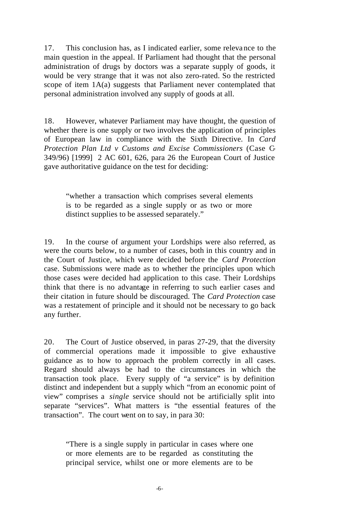17. This conclusion has, as I indicated earlier, some releva nce to the main question in the appeal. If Parliament had thought that the personal administration of drugs by doctors was a separate supply of goods, it would be very strange that it was not also zero-rated. So the restricted scope of item 1A(a) suggests that Parliament never contemplated that personal administration involved any supply of goods at all.

18. However, whatever Parliament may have thought, the question of whether there is one supply or two involves the application of principles of European law in compliance with the Sixth Directive. In *Card Protection Plan Ltd v Customs and Excise Commissioners* (Case C-349/96) [1999] 2 AC 601, 626, para 26 the European Court of Justice gave authoritative guidance on the test for deciding:

"whether a transaction which comprises several elements is to be regarded as a single supply or as two or more distinct supplies to be assessed separately."

19. In the course of argument your Lordships were also referred, as were the courts below, to a number of cases, both in this country and in the Court of Justice, which were decided before the *Card Protection* case. Submissions were made as to whether the principles upon which those cases were decided had application to this case. Their Lordships think that there is no advantage in referring to such earlier cases and their citation in future should be discouraged. The *Card Protection* case was a restatement of principle and it should not be necessary to go back any further.

20. The Court of Justice observed, in paras 27**-**29, that the diversity of commercial operations made it impossible to give exhaustive guidance as to how to approach the problem correctly in all cases. Regard should always be had to the circumstances in which the transaction took place. Every supply of "a service" is by definition distinct and independent but a supply which "from an economic point of view" comprises a *single* service should not be artificially split into separate "services". What matters is "the essential features of the transaction". The court went on to say, in para 30:

"There is a single supply in particular in cases where one or more elements are to be regarded as constituting the principal service, whilst one or more elements are to be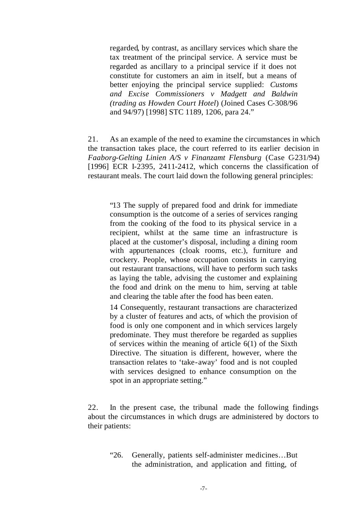regarded, by contrast, as ancillary services which share the tax treatment of the principal service. A service must be regarded as ancillary to a principal service if it does not constitute for customers an aim in itself, but a means of better enjoying the principal service supplied: *Customs and Excise Commissioners v Madgett and Baldwin (trading as Howden Court Hotel*) (Joined Cases C-308/96 and 94/97) [1998] STC 1189, 1206, para 24."

21. As an example of the need to examine the circumstances in which the transaction takes place, the court referred to its earlier decision in *Faaborg-Gelting Linien A/S v Finanzamt Flensburg* (Case C-231/94) [1996] ECR I-2395, 2411-2412, which concerns the classification of restaurant meals. The court laid down the following general principles:

"13 The supply of prepared food and drink for immediate consumption is the outcome of a series of services ranging from the cooking of the food to its physical service in a recipient, whilst at the same time an infrastructure is placed at the customer's disposal, including a dining room with appurtenances (cloak rooms, etc.), furniture and crockery. People, whose occupation consists in carrying out restaurant transactions, will have to perform such tasks as laying the table, advising the customer and explaining the food and drink on the menu to him, serving at table and clearing the table after the food has been eaten.

14 Consequently, restaurant transactions are characterized by a cluster of features and acts, of which the provision of food is only one component and in which services largely predominate. They must therefore be regarded as supplies of services within the meaning of article 6(1) of the Sixth Directive. The situation is different, however, where the transaction relates to 'take-away' food and is not coupled with services designed to enhance consumption on the spot in an appropriate setting."

22. In the present case, the tribunal made the following findings about the circumstances in which drugs are administered by doctors to their patients:

"26. Generally, patients self-administer medicines…But the administration, and application and fitting, of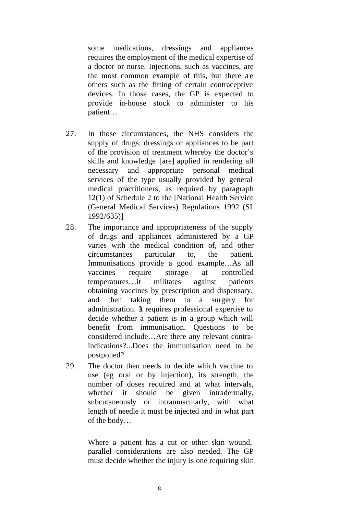some medications, dressings and appliances requires the employment of the medical expertise of a doctor or nurse. Injections, such as vaccines, are the most common example of this, but there are others such as the fitting of certain contraceptive devices. In those cases, the GP is expected to provide in-house stock to administer to his patient…

- 27. In those circumstances, the NHS considers the supply of drugs, dressings or appliances to be part of the provision of treatment whereby the doctor's skills and knowledge [are] applied in rendering all necessary and appropriate personal medical services of the type usually provided by general medical practitioners, as required by paragraph 12(1) of Schedule 2 to the [National Health Service (General Medical Services) Regulations 1992 (SI 1992/635)]
- 28. The importance and appropriateness of the supply of drugs and appliances administered by a GP varies with the medical condition of, and other circumstances particular to, the patient. Immunisations provide a good example…As all vaccines require storage at controlled temperatures…it militates against patients obtaining vaccines by prescription and dispensary, and then taking them to a surgery for administration. It requires professional expertise to decide whether a patient is in a group which will benefit from immunisation. Questions to be considered include…Are there any relevant contraindications?...Does the immunisation need to be postponed?
- 29. The doctor then needs to decide which vaccine to use (eg oral or by injection), its strength, the number of doses required and at what intervals, whether it should be given intradermally, subcutaneously or intramuscularly, with what length of needle it must be injected and in what part of the body…

Where a patient has a cut or other skin wound, parallel considerations are also needed. The GP must decide whether the injury is one requiring skin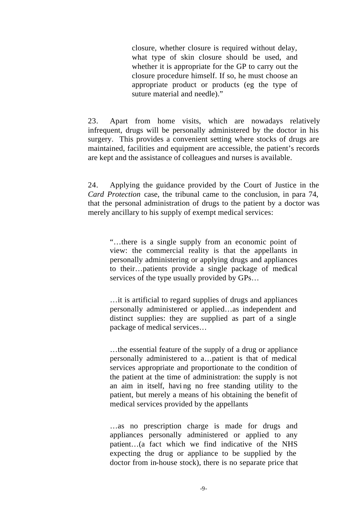closure, whether closure is required without delay, what type of skin closure should be used, and whether it is appropriate for the GP to carry out the closure procedure himself. If so, he must choose an appropriate product or products (eg the type of suture material and needle)."

23. Apart from home visits, which are nowadays relatively infrequent, drugs will be personally administered by the doctor in his surgery. This provides a convenient setting where stocks of drugs are maintained, facilities and equipment are accessible, the patient's records are kept and the assistance of colleagues and nurses is available.

24. Applying the guidance provided by the Court of Justice in the *Card Protection* case, the tribunal came to the conclusion, in para 74, that the personal administration of drugs to the patient by a doctor was merely ancillary to his supply of exempt medical services:

"…there is a single supply from an economic point of view: the commercial reality is that the appellants in personally administering or applying drugs and appliances to their…patients provide a single package of medical services of the type usually provided by GPs…

…it is artificial to regard supplies of drugs and appliances personally administered or applied…as independent and distinct supplies: they are supplied as part of a single package of medical services…

…the essential feature of the supply of a drug or appliance personally administered to a…patient is that of medical services appropriate and proportionate to the condition of the patient at the time of administration: the supply is not an aim in itself, havi ng no free standing utility to the patient, but merely a means of his obtaining the benefit of medical services provided by the appellants

…as no prescription charge is made for drugs and appliances personally administered or applied to any patient…(a fact which we find indicative of the NHS expecting the drug or appliance to be supplied by the doctor from in-house stock), there is no separate price that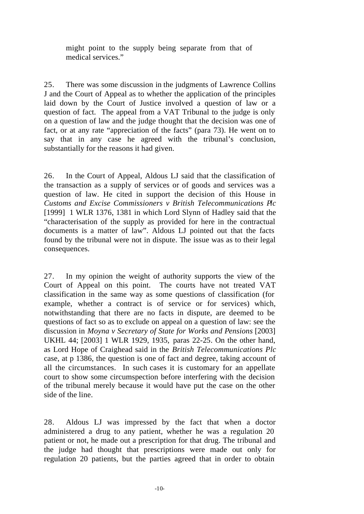might point to the supply being separate from that of medical services."

25. There was some discussion in the judgments of Lawrence Collins J and the Court of Appeal as to whether the application of the principles laid down by the Court of Justice involved a question of law or a question of fact. The appeal from a VAT Tribunal to the judge is only on a question of law and the judge thought that the decision was one of fact, or at any rate "appreciation of the facts" (para 73). He went on to say that in any case he agreed with the tribunal's conclusion, substantially for the reasons it had given.

26. In the Court of Appeal, Aldous LJ said that the classification of the transaction as a supply of services or of goods and services was a question of law. He cited in support the decision of this House in *Customs and Excise Commissioners v British Telecommunications Plc* [1999] 1 WLR 1376, 1381 in which Lord Slynn of Hadley said that the "characterisation of the supply as provided for here in the contractual documents is a matter of law". Aldous LJ pointed out that the facts found by the tribunal were not in dispute. The issue was as to their legal consequences.

27. In my opinion the weight of authority supports the view of the Court of Appeal on this point. The courts have not treated VAT classification in the same way as some questions of classification (for example, whether a contract is of service or for services) which, notwithstanding that there are no facts in dispute, are deemed to be questions of fact so as to exclude on appeal on a question of law: see the discussion in *Moyna v Secretary of State for Works and Pensions* [2003] UKHL 44; [2003] 1 WLR 1929, 1935, paras 22-25. On the other hand, as Lord Hope of Craighead said in the *British Telecommunications Plc* case, at p 1386, the question is one of fact and degree, taking account of all the circumstances. In such cases it is customary for an appellate court to show some circumspection before interfering with the decision of the tribunal merely because it would have put the case on the other side of the line.

28. Aldous LJ was impressed by the fact that when a doctor administered a drug to any patient, whether he was a regulation 20 patient or not, he made out a prescription for that drug. The tribunal and the judge had thought that prescriptions were made out only for regulation 20 patients, but the parties agreed that in order to obtain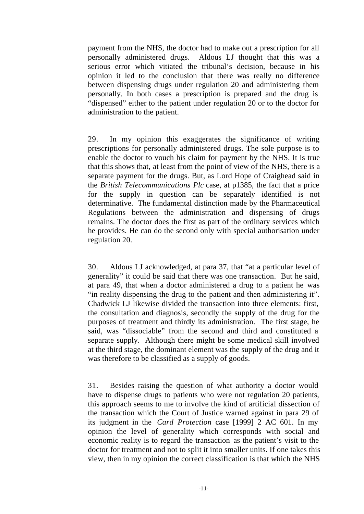payment from the NHS, the doctor had to make out a prescription for all personally administered drugs. Aldous LJ thought that this was a serious error which vitiated the tribunal's decision, because in his opinion it led to the conclusion that there was really no difference between dispensing drugs under regulation 20 and administering them personally. In both cases a prescription is prepared and the drug is "dispensed" either to the patient under regulation 20 or to the doctor for administration to the patient.

29. In my opinion this exaggerates the significance of writing prescriptions for personally administered drugs. The sole purpose is to enable the doctor to vouch his claim for payment by the NHS. It is true that this shows that, at least from the point of view of the NHS, there is a separate payment for the drugs. But, as Lord Hope of Craighead said in the *British Telecommunications Plc* case, at p1385, the fact that a price for the supply in question can be separately identified is not determinative. The fundamental distinction made by the Pharmaceutical Regulations between the administration and dispensing of drugs remains. The doctor does the first as part of the ordinary services which he provides. He can do the second only with special authorisation under regulation 20.

30. Aldous LJ acknowledged, at para 37, that "at a particular level of generality" it could be said that there was one transaction. But he said, at para 49, that when a doctor administered a drug to a patient he was "in reality dispensing the drug to the patient and then administering it". Chadwick LJ likewise divided the transaction into three elements: first, the consultation and diagnosis, secondly the supply of the drug for the purposes of treatment and thirdly its administration. The first stage, he said, was "dissociable" from the second and third and constituted a separate supply. Although there might be some medical skill involved at the third stage, the dominant element was the supply of the drug and it was therefore to be classified as a supply of goods.

31. Besides raising the question of what authority a doctor would have to dispense drugs to patients who were not regulation 20 patients, this approach seems to me to involve the kind of artificial dissection of the transaction which the Court of Justice warned against in para 29 of its judgment in the *Card Protection* case [1999] 2 AC 601. In my opinion the level of generality which corresponds with social and economic reality is to regard the transaction as the patient's visit to the doctor for treatment and not to split it into smaller units. If one takes this view, then in my opinion the correct classification is that which the NHS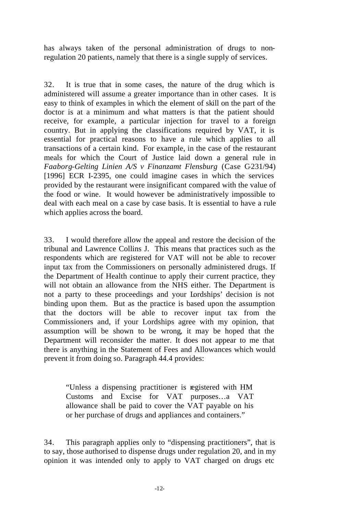has always taken of the personal administration of drugs to nonregulation 20 patients, namely that there is a single supply of services.

32. It is true that in some cases, the nature of the drug which is administered will assume a greater importance than in other cases. It is easy to think of examples in which the element of skill on the part of the doctor is at a minimum and what matters is that the patient should receive, for example, a particular injection for travel to a foreign country. But in applying the classifications required by VAT, it is essential for practical reasons to have a rule which applies to all transactions of a certain kind. For example, in the case of the restaurant meals for which the Court of Justice laid down a general rule in *Faaborg-Gelting Linien A/S v Finanzamt Flensburg* (Case C-231/94) [1996] ECR I-2395, one could imagine cases in which the services provided by the restaurant were insignificant compared with the value of the food or wine. It would however be administratively impossible to deal with each meal on a case by case basis. It is essential to have a rule which applies across the board.

33. I would therefore allow the appeal and restore the decision of the tribunal and Lawrence Collins J. This means that practices such as the respondents which are registered for VAT will not be able to recover input tax from the Commissioners on personally administered drugs. If the Department of Health continue to apply their current practice, they will not obtain an allowance from the NHS either. The Department is not a party to these proceedings and your Lordships' decision is not binding upon them. But as the practice is based upon the assumption that the doctors will be able to recover input tax from the Commissioners and, if your Lordships agree with my opinion, that assumption will be shown to be wrong, it may be hoped that the Department will reconsider the matter. It does not appear to me that there is anything in the Statement of Fees and Allowances which would prevent it from doing so. Paragraph 44.4 provides:

"Unless a dispensing practitioner is registered with HM Customs and Excise for VAT purposes…a VAT allowance shall be paid to cover the VAT payable on his or her purchase of drugs and appliances and containers."

34. This paragraph applies only to "dispensing practitioners", that is to say, those authorised to dispense drugs under regulation 20, and in my opinion it was intended only to apply to VAT charged on drugs etc